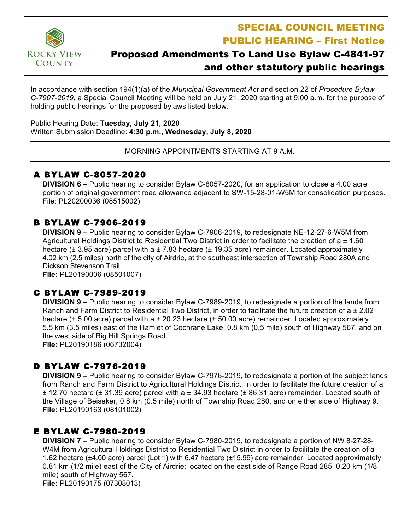

SPECIAL COUNCIL MEETING PUBLIC HEARING – First Notice

# Proposed Amendments To Land Use Bylaw C-4841-97 and other statutory public hearings

In accordance with section 194(1)(a) of the *Municipal Government Act* and section 22 of *Procedure Bylaw C-7907-2019*, a Special Council Meeting will be held on July 21, 2020 starting at 9:00 a.m. for the purpose of holding public hearings for the proposed bylaws listed below.

Public Hearing Date: **Tuesday, July 21, 2020** Written Submission Deadline: **4:30 p.m., Wednesday, July 8, 2020**

MORNING APPOINTMENTS STARTING AT 9 A.M.

### A BYLAW C-8057-2020

**DIVISION 6 –** Public hearing to consider Bylaw C-8057-2020, for an application to close a 4.00 acre portion of original government road allowance adjacent to SW-15-28-01-W5M for consolidation purposes. File: PL20200036 (08515002)

# B BYLAW C-7906-2019

**DIVISION 9 –** Public hearing to consider Bylaw C-7906-2019, to redesignate NE-12-27-6-W5M from Agricultural Holdings District to Residential Two District in order to facilitate the creation of a  $\pm$  1.60 hectare ( $\pm$  3.95 acre) parcel with a  $\pm$  7.83 hectare ( $\pm$  19.35 acre) remainder. Located approximately 4.02 km (2.5 miles) north of the city of Airdrie, at the southeast intersection of Township Road 280A and Dickson Stevenson Trail.

**File:** PL20190006 (08501007)

# C BYLAW C-7989-2019

**DIVISION 9 –** Public hearing to consider Bylaw C-7989-2019, to redesignate a portion of the lands from Ranch and Farm District to Residential Two District, in order to facilitate the future creation of a ± 2.02 hectare ( $\pm$  5.00 acre) parcel with a  $\pm$  20.23 hectare ( $\pm$  50.00 acre) remainder. Located approximately 5.5 km (3.5 miles) east of the Hamlet of Cochrane Lake, 0.8 km (0.5 mile) south of Highway 567, and on the west side of Big Hill Springs Road. **File:** PL20190186 (06732004)

# D BYLAW C-7976-2019

**DIVISION 9 –** Public hearing to consider Bylaw C-7976-2019, to redesignate a portion of the subject lands from Ranch and Farm District to Agricultural Holdings District, in order to facilitate the future creation of a ± 12.70 hectare (± 31.39 acre) parcel with a ± 34.93 hectare (± 86.31 acre) remainder. Located south of the Village of Beiseker, 0.8 km (0.5 mile) north of Township Road 280, and on either side of Highway 9. **File:** PL20190163 (08101002)

# E BYLAW C-7980-2019

**DIVISION 7 –** Public hearing to consider Bylaw C-7980-2019, to redesignate a portion of NW 8-27-28- W4M from Agricultural Holdings District to Residential Two District in order to facilitate the creation of a 1.62 hectare (±4.00 acre) parcel (Lot 1) with 6.47 hectare (±15.99) acre remainder. Located approximately 0.81 km (1/2 mile) east of the City of Airdrie; located on the east side of Range Road 285, 0.20 km (1/8 mile) south of Highway 567. **File:** PL20190175 (07308013)